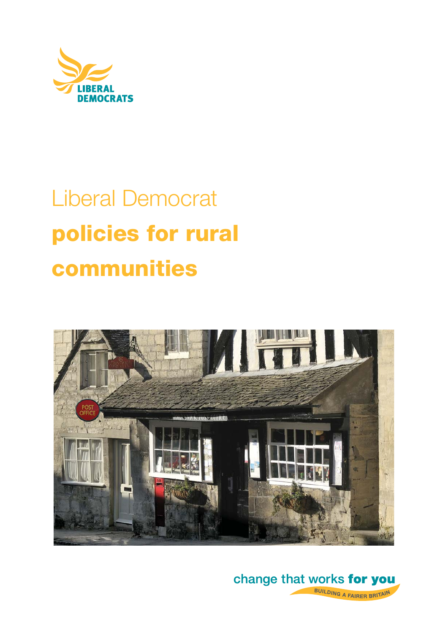

# Liberal Democrat **policies for rural communities**



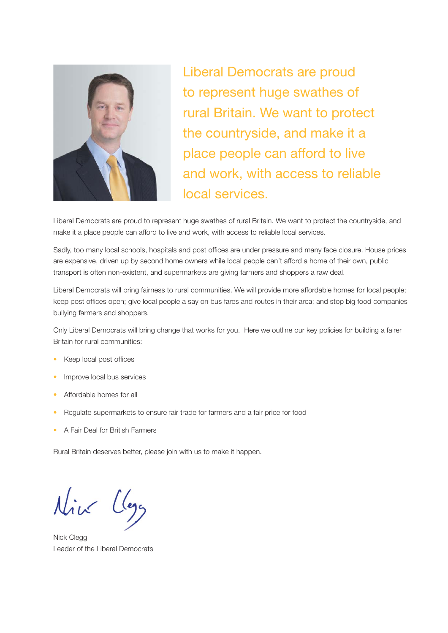

Liberal Democrats are proud to represent huge swathes of rural Britain. We want to protect the countryside, and make it a place people can afford to live and work, with access to reliable local services.

Liberal Democrats are proud to represent huge swathes of rural Britain. We want to protect the countryside, and make it a place people can afford to live and work, with access to reliable local services.

Sadly, too many local schools, hospitals and post offices are under pressure and many face closure. House prices are expensive, driven up by second home owners while local people can't afford a home of their own, public transport is often non-existent, and supermarkets are giving farmers and shoppers a raw deal.

Liberal Democrats will bring fairness to rural communities. We will provide more affordable homes for local people; keep post offices open; give local people a say on bus fares and routes in their area; and stop big food companies bullying farmers and shoppers.

Only Liberal Democrats will bring change that works for you. Here we outline our key policies for building a fairer Britain for rural communities:

- Keep local post offices
- Improve local bus services
- Affordable homes for all
- Regulate supermarkets to ensure fair trade for farmers and a fair price for food
- A Fair Deal for British Farmers

Rural Britain deserves better, please join with us to make it happen.

Nick Clegg Leader of the Liberal Democrats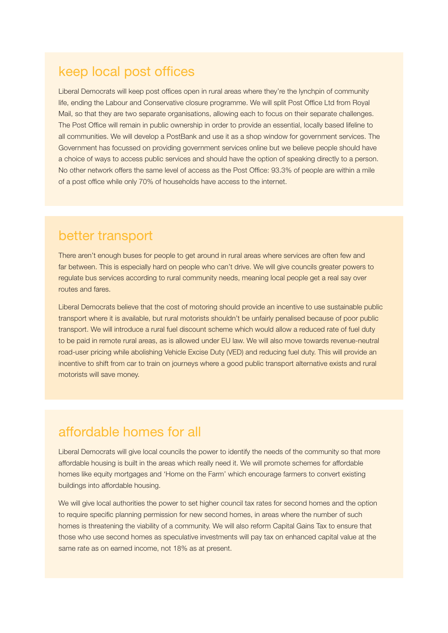### keep local post offices

Liberal Democrats will keep post offices open in rural areas where they're the lynchpin of community life, ending the Labour and Conservative closure programme. We will split Post Office Ltd from Royal Mail, so that they are two separate organisations, allowing each to focus on their separate challenges. The Post Office will remain in public ownership in order to provide an essential, locally based lifeline to all communities. We will develop a PostBank and use it as a shop window for government services. The Government has focussed on providing government services online but we believe people should have a choice of ways to access public services and should have the option of speaking directly to a person. No other network offers the same level of access as the Post Office: 93.3% of people are within a mile of a post office while only 70% of households have access to the internet.

#### better transport

There aren't enough buses for people to get around in rural areas where services are often few and far between. This is especially hard on people who can't drive. We will give councils greater powers to regulate bus services according to rural community needs, meaning local people get a real say over routes and fares.

Liberal Democrats believe that the cost of motoring should provide an incentive to use sustainable public transport where it is available, but rural motorists shouldn't be unfairly penalised because of poor public transport. We will introduce a rural fuel discount scheme which would allow a reduced rate of fuel duty to be paid in remote rural areas, as is allowed under EU law. We will also move towards revenue-neutral road-user pricing while abolishing Vehicle Excise Duty (VED) and reducing fuel duty. This will provide an incentive to shift from car to train on journeys where a good public transport alternative exists and rural motorists will save money.

#### affordable homes for all

Liberal Democrats will give local councils the power to identify the needs of the community so that more affordable housing is built in the areas which really need it. We will promote schemes for affordable homes like equity mortgages and 'Home on the Farm' which encourage farmers to convert existing buildings into affordable housing.

We will give local authorities the power to set higher council tax rates for second homes and the option to require specific planning permission for new second homes, in areas where the number of such homes is threatening the viability of a community. We will also reform Capital Gains Tax to ensure that those who use second homes as speculative investments will pay tax on enhanced capital value at the same rate as on earned income, not 18% as at present.